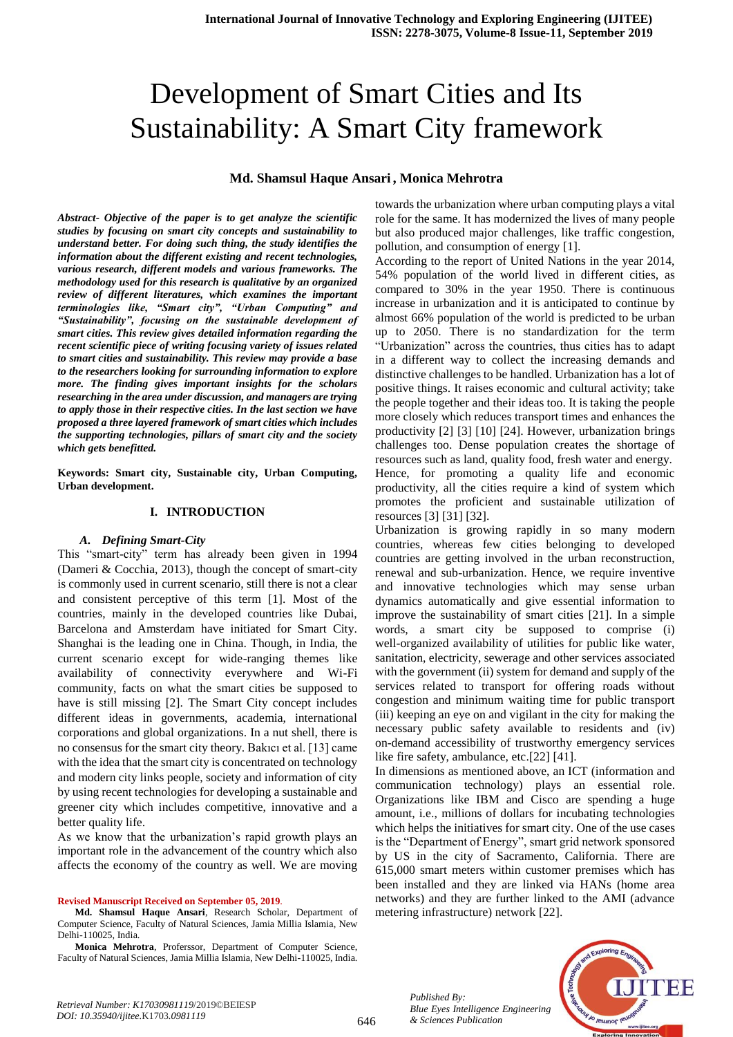# Development of Smart Cities and Its Sustainability: A Smart City framework

## **Md. Shamsul Haque Ansari , Monica Mehrotra**

*Abstract- Objective of the paper is to get analyze the scientific studies by focusing on smart city concepts and sustainability to understand better. For doing such thing, the study identifies the information about the different existing and recent technologies, various research, different models and various frameworks. The methodology used for this research is qualitative by an organized review of different literatures, which examines the important terminologies like, "Smart city", "Urban Computing" and "Sustainability", focusing on the sustainable development of smart cities. This review gives detailed information regarding the recent scientific piece of writing focusing variety of issues related to smart cities and sustainability. This review may provide a base to the researchers looking for surrounding information to explore more. The finding gives important insights for the scholars researching in the area under discussion, and managers are trying to apply those in their respective cities. In the last section we have proposed a three layered framework of smart cities which includes the supporting technologies, pillars of smart city and the society which gets benefitted.*

**Keywords: Smart city, Sustainable city, Urban Computing, Urban development.**

#### **I. INTRODUCTION**

## *A. Defining Smart-City*

This "smart-city" term has already been given in 1994 (Dameri & Cocchia, 2013), though the concept of smart-city is commonly used in current scenario, still there is not a clear and consistent perceptive of this term [1]. Most of the countries, mainly in the developed countries like Dubai, Barcelona and Amsterdam have initiated for Smart City. Shanghai is the leading one in China. Though, in India, the current scenario except for wide-ranging themes like availability of connectivity everywhere and Wi-Fi community, facts on what the smart cities be supposed to have is still missing [2]. The Smart City concept includes different ideas in governments, academia, international corporations and global organizations. In a nut shell, there is no consensus for the smart city theory. Bakıcı et al. [13] came with the idea that the smart city is concentrated on technology and modern city links people, society and information of city by using recent technologies for developing a sustainable and greener city which includes competitive, innovative and a better quality life.

As we know that the urbanization's rapid growth plays an important role in the advancement of the country which also affects the economy of the country as well. We are moving

**Revised Manuscript Received on September 05, 2019**.

 **Md. Shamsul Haque Ansari**, Research Scholar, Department of Computer Science, Faculty of Natural Sciences, Jamia Millia Islamia, New Delhi-110025, India.

 **Monica Mehrotra**, Proferssor, Department of Computer Science, Faculty of Natural Sciences, Jamia Millia Islamia, New Delhi-110025, India. towards the urbanization where urban computing plays a vital role for the same. It has modernized the lives of many people but also produced major challenges, like traffic congestion, pollution, and consumption of energy [1].

According to the report of United Nations in the year 2014, 54% population of the world lived in different cities, as compared to 30% in the year 1950. There is continuous increase in urbanization and it is anticipated to continue by almost 66% population of the world is predicted to be urban up to 2050. There is no standardization for the term "Urbanization" across the countries, thus cities has to adapt in a different way to collect the increasing demands and distinctive challenges to be handled. Urbanization has a lot of positive things. It raises economic and cultural activity; take the people together and their ideas too. It is taking the people more closely which reduces transport times and enhances the productivity [2] [3] [10] [24]. However, urbanization brings challenges too. Dense population creates the shortage of resources such as land, quality food, fresh water and energy. Hence, for promoting a quality life and economic

productivity, all the cities require a kind of system which promotes the proficient and sustainable utilization of resources [3] [31] [32].

Urbanization is growing rapidly in so many modern countries, whereas few cities belonging to developed countries are getting involved in the urban reconstruction, renewal and sub-urbanization. Hence, we require inventive and innovative technologies which may sense urban dynamics automatically and give essential information to improve the sustainability of smart cities [21]. In a simple words, a smart city be supposed to comprise (i) well-organized availability of utilities for public like water, sanitation, electricity, sewerage and other services associated with the government (ii) system for demand and supply of the services related to transport for offering roads without congestion and minimum waiting time for public transport (iii) keeping an eye on and vigilant in the city for making the necessary public safety available to residents and (iv) on-demand accessibility of trustworthy emergency services like fire safety, ambulance, etc.[22] [41].

In dimensions as mentioned above, an ICT (information and communication technology) plays an essential role. Organizations like IBM and Cisco are spending a huge amount, i.e., millions of dollars for incubating technologies which helps the initiatives for smart city. One of the use cases is the "Department of Energy", smart grid network sponsored by US in the city of Sacramento, California. There are 615,000 smart meters within customer premises which has been installed and they are linked via HANs (home area networks) and they are further linked to the AMI (advance metering infrastructure) network [22].



646

*Published By:*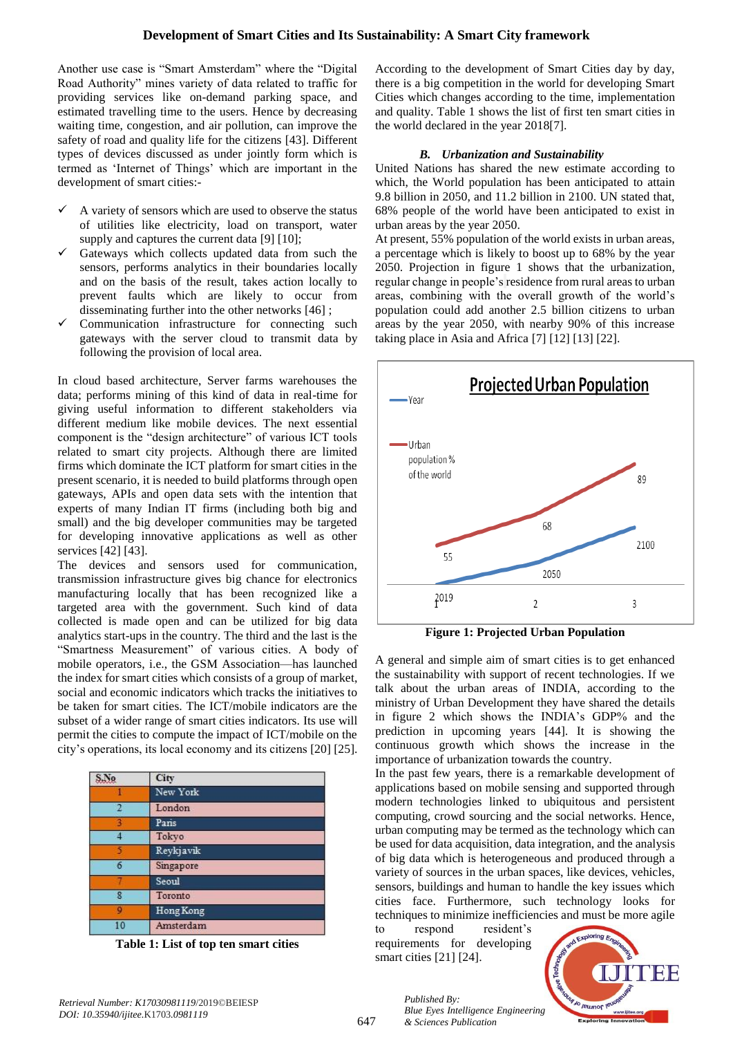Another use case is "Smart Amsterdam" where the "Digital Road Authority" mines variety of data related to traffic for providing services like on-demand parking space, and estimated travelling time to the users. Hence by decreasing waiting time, congestion, and air pollution, can improve the safety of road and quality life for the citizens [43]. Different types of devices discussed as under jointly form which is termed as 'Internet of Things' which are important in the development of smart cities:-

- A variety of sensors which are used to observe the status of utilities like electricity, load on transport, water supply and captures the current data [9] [10];
- Gateways which collects updated data from such the sensors, performs analytics in their boundaries locally and on the basis of the result, takes action locally to prevent faults which are likely to occur from disseminating further into the other networks [46] ;
- Communication infrastructure for connecting such gateways with the server cloud to transmit data by following the provision of local area.

In cloud based architecture, Server farms warehouses the data; performs mining of this kind of data in real-time for giving useful information to different stakeholders via different medium like mobile devices. The next essential component is the "design architecture" of various ICT tools related to smart city projects. Although there are limited firms which dominate the ICT platform for smart cities in the present scenario, it is needed to build platforms through open gateways, APIs and open data sets with the intention that experts of many Indian IT firms (including both big and small) and the big developer communities may be targeted for developing innovative applications as well as other services [42] [43].

The devices and sensors used for communication, transmission infrastructure gives big chance for electronics manufacturing locally that has been recognized like a targeted area with the government. Such kind of data collected is made open and can be utilized for big data analytics start-ups in the country. The third and the last is the "Smartness Measurement" of various cities. A body of mobile operators, i.e., the GSM Association—has launched the index for smart cities which consists of a group of market, social and economic indicators which tracks the initiatives to be taken for smart cities. The ICT/mobile indicators are the subset of a wider range of smart cities indicators. Its use will permit the cities to compute the impact of ICT/mobile on the city's operations, its local economy and its citizens [20] [25].

|   | City      |
|---|-----------|
|   | New York  |
|   | London    |
|   | Paris     |
|   | Tokyo     |
|   | Reykjavik |
|   | Singapore |
|   | Seoul     |
|   | Toronto   |
|   | Hong Kong |
| m | Amsterdam |

**Table 1: List of top ten smart cities**

According to the development of Smart Cities day by day, there is a big competition in the world for developing Smart Cities which changes according to the time, implementation and quality. Table 1 shows the list of first ten smart cities in the world declared in the year 2018[7].

## *B. Urbanization and Sustainability*

United Nations has shared the new estimate according to which, the World population has been anticipated to attain 9.8 billion in 2050, and 11.2 billion in 2100. UN stated that, 68% people of the world have been anticipated to exist in urban areas by the year 2050.

At present, 55% population of the world exists in urban areas, a percentage which is likely to boost up to 68% by the year 2050. Projection in figure 1 shows that the urbanization, regular change in people's residence from rural areas to urban areas, combining with the overall growth of the world's population could add another 2.5 billion citizens to urban areas by the year 2050, with nearby 90% of this increase taking place in Asia and Africa [7] [12] [13] [22].



**Figure 1: Projected Urban Population**

A general and simple aim of smart cities is to get enhanced the sustainability with support of recent technologies. If we talk about the urban areas of INDIA, according to the ministry of Urban Development they have shared the details in figure 2 which shows the INDIA's GDP% and the prediction in upcoming years [44]. It is showing the continuous growth which shows the increase in the importance of urbanization towards the country.

In the past few years, there is a remarkable development of applications based on mobile sensing and supported through modern technologies linked to ubiquitous and persistent computing, crowd sourcing and the social networks. Hence, urban computing may be termed as the technology which can be used for data acquisition, data integration, and the analysis of big data which is heterogeneous and produced through a variety of sources in the urban spaces, like devices, vehicles, sensors, buildings and human to handle the key issues which cities face. Furthermore, such technology looks for techniques to minimize inefficiencies and must be more agile

to respond resident's requirements for developing smart cities [21] [24].

*& Sciences Publication* 

*Published By:*



*Retrieval Number: K17030981119*/2019©BEIESP *DOI: 10.35940/ijitee.*K1703*.0981119*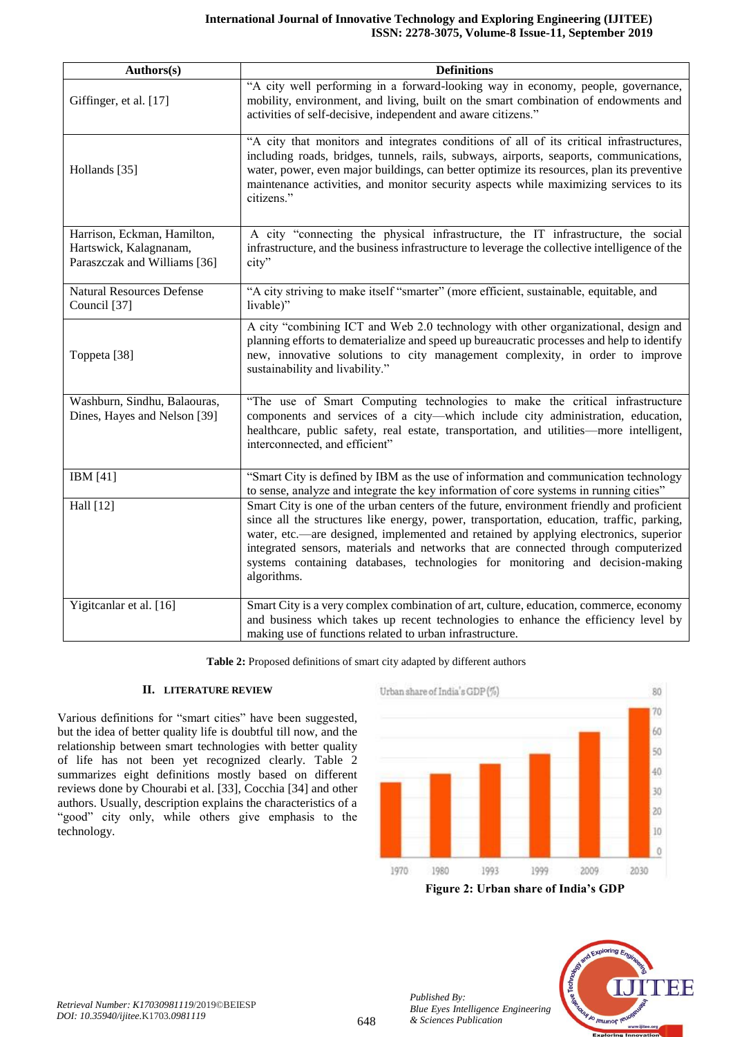| Authors(s)                                                                            | <b>Definitions</b>                                                                                                                                                                                                                                                                                                                                                                                                                                                     |
|---------------------------------------------------------------------------------------|------------------------------------------------------------------------------------------------------------------------------------------------------------------------------------------------------------------------------------------------------------------------------------------------------------------------------------------------------------------------------------------------------------------------------------------------------------------------|
| Giffinger, et al. [17]                                                                | "A city well performing in a forward-looking way in economy, people, governance,<br>mobility, environment, and living, built on the smart combination of endowments and<br>activities of self-decisive, independent and aware citizens."                                                                                                                                                                                                                               |
| Hollands [35]                                                                         | "A city that monitors and integrates conditions of all of its critical infrastructures,<br>including roads, bridges, tunnels, rails, subways, airports, seaports, communications,<br>water, power, even major buildings, can better optimize its resources, plan its preventive<br>maintenance activities, and monitor security aspects while maximizing services to its<br>citizens."                                                                                 |
| Harrison, Eckman, Hamilton,<br>Hartswick, Kalagnanam,<br>Paraszczak and Williams [36] | A city "connecting the physical infrastructure, the IT infrastructure, the social<br>infrastructure, and the business infrastructure to leverage the collective intelligence of the<br>city"                                                                                                                                                                                                                                                                           |
| <b>Natural Resources Defense</b><br>Council [37]                                      | "A city striving to make itself "smarter" (more efficient, sustainable, equitable, and<br>livable)"                                                                                                                                                                                                                                                                                                                                                                    |
| Toppeta <sup>[38]</sup>                                                               | A city "combining ICT and Web 2.0 technology with other organizational, design and<br>planning efforts to dematerialize and speed up bureaucratic processes and help to identify<br>new, innovative solutions to city management complexity, in order to improve<br>sustainability and livability."                                                                                                                                                                    |
| Washburn, Sindhu, Balaouras,<br>Dines, Hayes and Nelson [39]                          | "The use of Smart Computing technologies to make the critical infrastructure<br>components and services of a city-which include city administration, education,<br>healthcare, public safety, real estate, transportation, and utilities-more intelligent,<br>interconnected, and efficient"                                                                                                                                                                           |
| IBM $[41]$                                                                            | "Smart City is defined by IBM as the use of information and communication technology<br>to sense, analyze and integrate the key information of core systems in running cities"                                                                                                                                                                                                                                                                                         |
| Hall [12]                                                                             | Smart City is one of the urban centers of the future, environment friendly and proficient<br>since all the structures like energy, power, transportation, education, traffic, parking,<br>water, etc.---are designed, implemented and retained by applying electronics, superior<br>integrated sensors, materials and networks that are connected through computerized<br>systems containing databases, technologies for monitoring and decision-making<br>algorithms. |
| Yigitcanlar et al. [16]                                                               | Smart City is a very complex combination of art, culture, education, commerce, economy<br>and business which takes up recent technologies to enhance the efficiency level by<br>making use of functions related to urban infrastructure.                                                                                                                                                                                                                               |

**Table 2:** Proposed definitions of smart city adapted by different authors

# **II. LITERATURE REVIEW**

Various definitions for "smart cities" have been suggested, but the idea of better quality life is doubtful till now, and the relationship between smart technologies with better quality of life has not been yet recognized clearly. Table 2 summarizes eight definitions mostly based on different reviews done by Chourabi et al. [33], Cocchia [34] and other authors. Usually, description explains the characteristics of a "good" city only, while others give emphasis to the technology.



**Figure 2: Urban share of India's GDP**



*Published By:*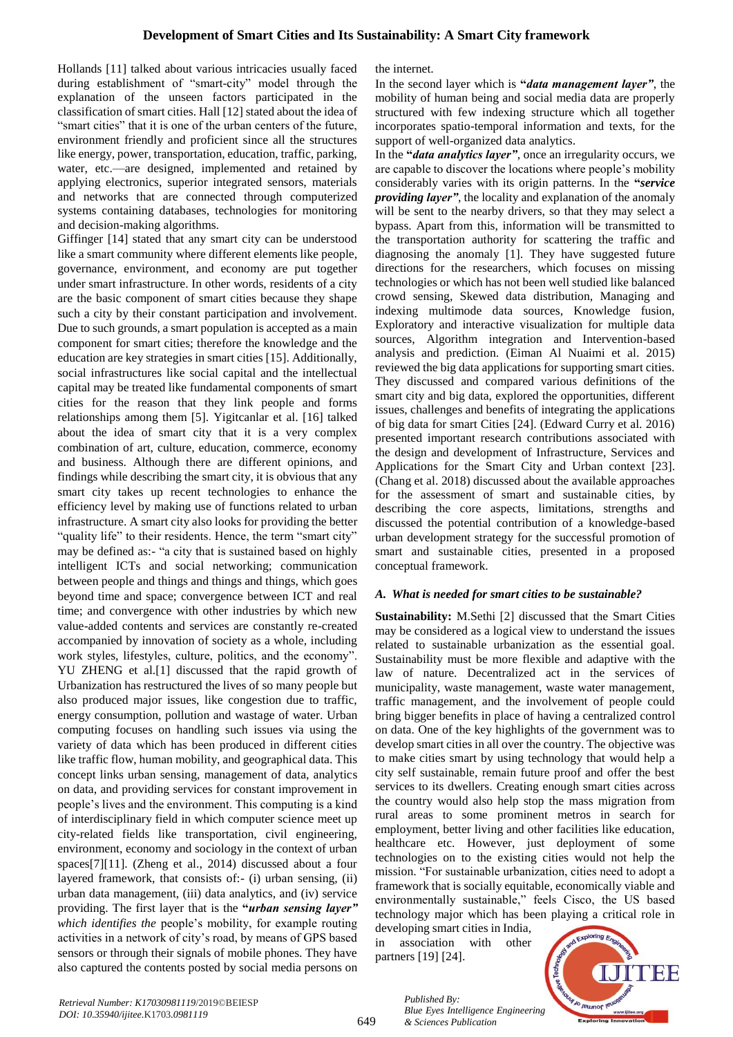Hollands [11] talked about various intricacies usually faced during establishment of "smart-city" model through the explanation of the unseen factors participated in the classification of smart cities. Hall [12] stated about the idea of "smart cities" that it is one of the urban centers of the future, environment friendly and proficient since all the structures like energy, power, transportation, education, traffic, parking, water, etc.—are designed, implemented and retained by applying electronics, superior integrated sensors, materials and networks that are connected through computerized systems containing databases, technologies for monitoring and decision-making algorithms.

Giffinger [14] stated that any smart city can be understood like a smart community where different elements like people, governance, environment, and economy are put together under smart infrastructure. In other words, residents of a city are the basic component of smart cities because they shape such a city by their constant participation and involvement. Due to such grounds, a smart population is accepted as a main component for smart cities; therefore the knowledge and the education are key strategies in smart cities [15]. Additionally, social infrastructures like social capital and the intellectual capital may be treated like fundamental components of smart cities for the reason that they link people and forms relationships among them [5]. Yigitcanlar et al. [16] talked about the idea of smart city that it is a very complex combination of art, culture, education, commerce, economy and business. Although there are different opinions, and findings while describing the smart city, it is obvious that any smart city takes up recent technologies to enhance the efficiency level by making use of functions related to urban infrastructure. A smart city also looks for providing the better "quality life" to their residents. Hence, the term "smart city" may be defined as:- "a city that is sustained based on highly intelligent ICTs and social networking; communication between people and things and things and things, which goes beyond time and space; convergence between ICT and real time; and convergence with other industries by which new value-added contents and services are constantly re-created accompanied by innovation of society as a whole, including work styles, lifestyles, culture, politics, and the economy". YU ZHENG et al.[1] discussed that the rapid growth of Urbanization has restructured the lives of so many people but also produced major issues, like congestion due to traffic, energy consumption, pollution and wastage of water. Urban computing focuses on handling such issues via using the variety of data which has been produced in different cities like traffic flow, human mobility, and geographical data. This concept links urban sensing, management of data, analytics on data, and providing services for constant improvement in people's lives and the environment. This computing is a kind of interdisciplinary field in which computer science meet up city-related fields like transportation, civil engineering, environment, economy and sociology in the context of urban spaces[7][11]. (Zheng et al., 2014) discussed about a four layered framework, that consists of:- (i) urban sensing, (ii) urban data management, (iii) data analytics, and (iv) service providing. The first layer that is the **"***urban sensing layer" which identifies the* people's mobility, for example routing activities in a network of city's road, by means of GPS based sensors or through their signals of mobile phones. They have also captured the contents posted by social media persons on

the internet.

In the second layer which is **"***data management layer"*, the mobility of human being and social media data are properly structured with few indexing structure which all together incorporates spatio-temporal information and texts, for the support of well-organized data analytics.

In the **"***data analytics layer"*, once an irregularity occurs, we are capable to discover the locations where people's mobility considerably varies with its origin patterns. In the **"***service providing layer"*, the locality and explanation of the anomaly will be sent to the nearby drivers, so that they may select a bypass. Apart from this, information will be transmitted to the transportation authority for scattering the traffic and diagnosing the anomaly [1]. They have suggested future directions for the researchers, which focuses on missing technologies or which has not been well studied like balanced crowd sensing, Skewed data distribution, Managing and indexing multimode data sources, Knowledge fusion, Exploratory and interactive visualization for multiple data sources, Algorithm integration and Intervention-based analysis and prediction. (Eiman Al Nuaimi et al. 2015) reviewed the big data applications for supporting smart cities. They discussed and compared various definitions of the smart city and big data, explored the opportunities, different issues, challenges and benefits of integrating the applications of big data for smart Cities [24]. (Edward Curry et al. 2016) presented important research contributions associated with the design and development of Infrastructure, Services and Applications for the Smart City and Urban context [23]. (Chang et al. 2018) discussed about the available approaches for the assessment of smart and sustainable cities, by describing the core aspects, limitations, strengths and discussed the potential contribution of a knowledge-based urban development strategy for the successful promotion of smart and sustainable cities, presented in a proposed conceptual framework.

## *A. What is needed for smart cities to be sustainable?*

**Sustainability:** M.Sethi [2] discussed that the Smart Cities may be considered as a logical view to understand the issues related to sustainable urbanization as the essential goal. Sustainability must be more flexible and adaptive with the law of nature. Decentralized act in the services of municipality, waste management, waste water management, traffic management, and the involvement of people could bring bigger benefits in place of having a centralized control on data. One of the key highlights of the government was to develop smart cities in all over the country. The objective was to make cities smart by using technology that would help a city self sustainable, remain future proof and offer the best services to its dwellers. Creating enough smart cities across the country would also help stop the mass migration from rural areas to some prominent metros in search for employment, better living and other facilities like education, healthcare etc. However, just deployment of some technologies on to the existing cities would not help the mission. "For sustainable urbanization, cities need to adopt a framework that is socially equitable, economically viable and environmentally sustainable," feels Cisco, the US based technology major which has been playing a critical role in

developing smart cities in India, in association with other partners [19] [24].

*& Sciences Publication* 

*Published By:*

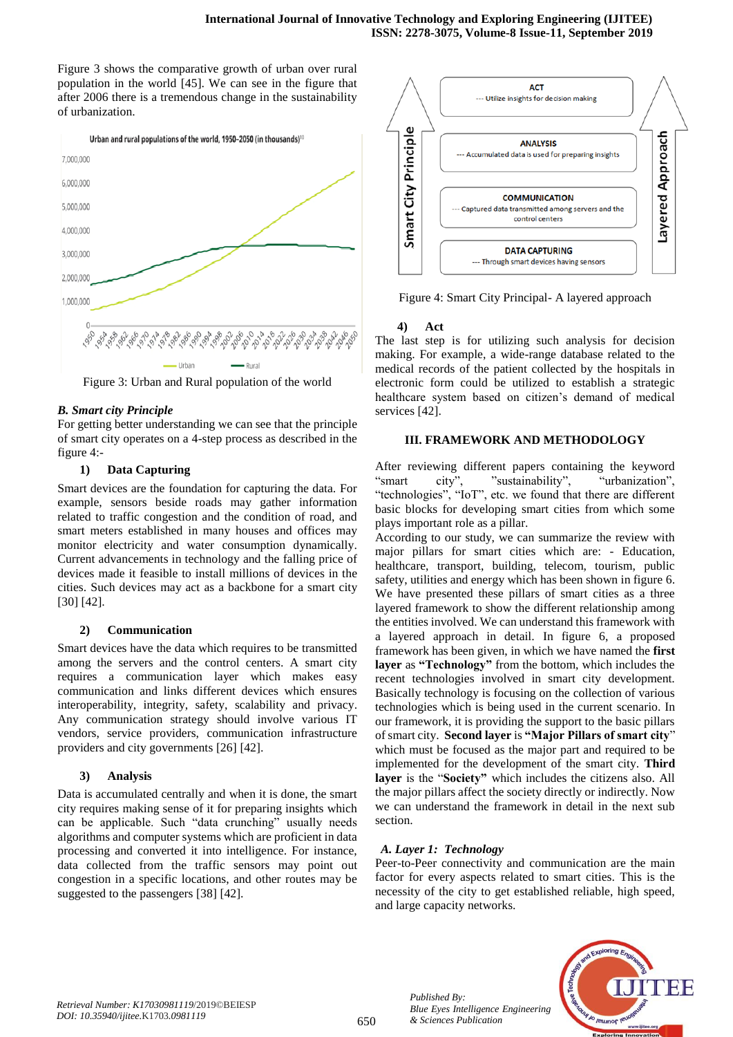Figure 3 shows the comparative growth of urban over rural population in the world [45]. We can see in the figure that after 2006 there is a tremendous change in the sustainability of urbanization.



Figure 3: Urban and Rural population of the world

## *B. Smart city Principle*

For getting better understanding we can see that the principle of smart city operates on a 4-step process as described in the figure 4:-

## **1) Data Capturing**

Smart devices are the foundation for capturing the data. For example, sensors beside roads may gather information related to traffic congestion and the condition of road, and smart meters established in many houses and offices may monitor electricity and water consumption dynamically. Current advancements in technology and the falling price of devices made it feasible to install millions of devices in the cities. Such devices may act as a backbone for a smart city [30] [42].

## **2) Communication**

Smart devices have the data which requires to be transmitted among the servers and the control centers. A smart city requires a communication layer which makes easy communication and links different devices which ensures interoperability, integrity, safety, scalability and privacy. Any communication strategy should involve various IT vendors, service providers, communication infrastructure providers and city governments [26] [42].

## **3) Analysis**

Data is accumulated centrally and when it is done, the smart city requires making sense of it for preparing insights which can be applicable. Such "data crunching" usually needs algorithms and computer systems which are proficient in data processing and converted it into intelligence. For instance, data collected from the traffic sensors may point out congestion in a specific locations, and other routes may be suggested to the passengers [38] [42].



Figure 4: Smart City Principal- A layered approach

#### **4) Act**

The last step is for utilizing such analysis for decision making. For example, a wide-range database related to the medical records of the patient collected by the hospitals in electronic form could be utilized to establish a strategic healthcare system based on citizen's demand of medical services [42].

## **III. FRAMEWORK AND METHODOLOGY**

After reviewing different papers containing the keyword "smart city", "sustainability", "urbanization", "technologies", "IoT", etc. we found that there are different basic blocks for developing smart cities from which some plays important role as a pillar.

According to our study, we can summarize the review with major pillars for smart cities which are: - Education, healthcare, transport, building, telecom, tourism, public safety, utilities and energy which has been shown in figure 6. We have presented these pillars of smart cities as a three layered framework to show the different relationship among the entities involved. We can understand this framework with a layered approach in detail. In figure 6, a proposed framework has been given, in which we have named the **first layer** as **"Technology"** from the bottom, which includes the recent technologies involved in smart city development. Basically technology is focusing on the collection of various technologies which is being used in the current scenario. In our framework, it is providing the support to the basic pillars of smart city. **Second layer** is **"Major Pillars of smart city**" which must be focused as the major part and required to be implemented for the development of the smart city. **Third layer** is the "**Society"** which includes the citizens also. All the major pillars affect the society directly or indirectly. Now we can understand the framework in detail in the next sub section.

## *A. Layer 1: Technology*

*Published By:*

*& Sciences Publication* 

Peer-to-Peer connectivity and communication are the main factor for every aspects related to smart cities. This is the necessity of the city to get established reliable, high speed, and large capacity networks.

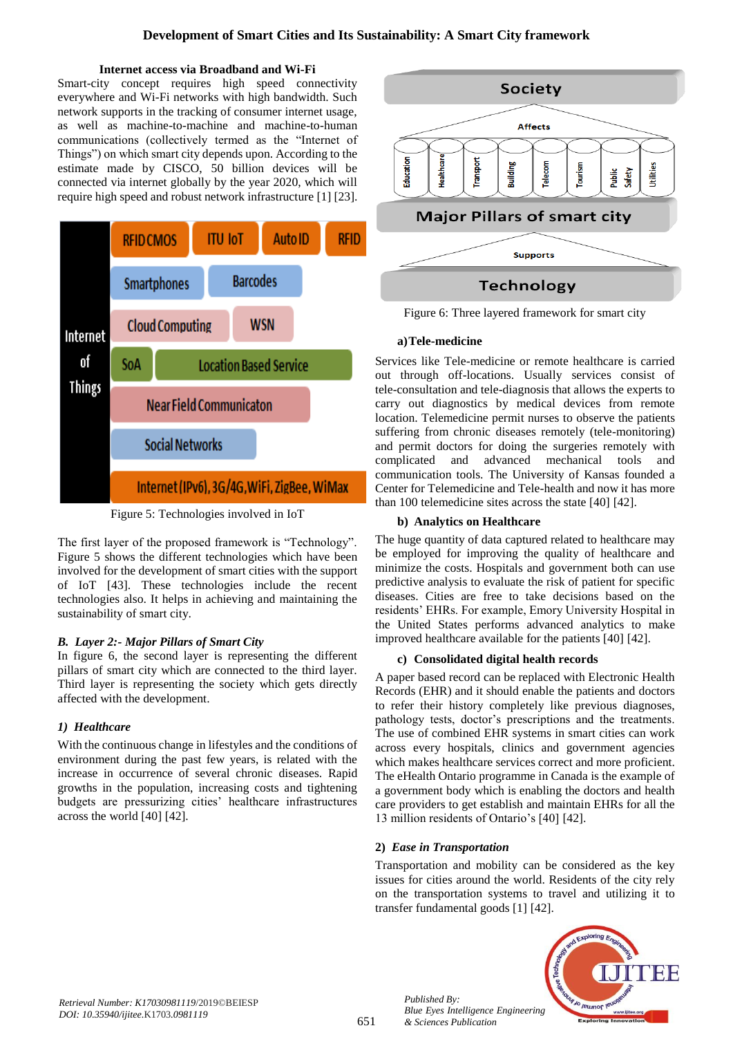# **Development of Smart Cities and Its Sustainability: A Smart City framework**

#### **Internet access via Broadband and Wi-Fi**

Smart-city concept requires high speed connectivity everywhere and Wi-Fi networks with high bandwidth. Such network supports in the tracking of consumer internet usage, as well as machine-to-machine and machine-to-human communications (collectively termed as the "Internet of Things") on which smart city depends upon. According to the estimate made by CISCO, 50 billion devices will be connected via internet globally by the year 2020, which will require high speed and robust network infrastructure [1] [23].



Figure 5: Technologies involved in IoT

The first layer of the proposed framework is "Technology". Figure 5 shows the different technologies which have been involved for the development of smart cities with the support of IoT [43]. These technologies include the recent technologies also. It helps in achieving and maintaining the sustainability of smart city.

## *B. Layer 2:- Major Pillars of Smart City*

In figure 6, the second layer is representing the different pillars of smart city which are connected to the third layer. Third layer is representing the society which gets directly affected with the development.

# *1) Healthcare*

With the continuous change in lifestyles and the conditions of environment during the past few years, is related with the increase in occurrence of several chronic diseases. Rapid growths in the population, increasing costs and tightening budgets are pressurizing cities' healthcare infrastructures across the world [40] [42].



Figure 6: Three layered framework for smart city

## **a)Tele-medicine**

Services like Tele-medicine or remote healthcare is carried out through off-locations. Usually services consist of tele-consultation and tele-diagnosis that allows the experts to carry out diagnostics by medical devices from remote location. Telemedicine permit nurses to observe the patients suffering from chronic diseases remotely (tele-monitoring) and permit doctors for doing the surgeries remotely with complicated and advanced mechanical tools and communication tools. The University of Kansas founded a Center for Telemedicine and Tele-health and now it has more than 100 telemedicine sites across the state [40] [42].

## **b) Analytics on Healthcare**

The huge quantity of data captured related to healthcare may be employed for improving the quality of healthcare and minimize the costs. Hospitals and government both can use predictive analysis to evaluate the risk of patient for specific diseases. Cities are free to take decisions based on the residents' EHRs. For example, Emory University Hospital in the United States performs advanced analytics to make improved healthcare available for the patients [40] [42].

## **c) Consolidated digital health records**

A paper based record can be replaced with Electronic Health Records (EHR) and it should enable the patients and doctors to refer their history completely like previous diagnoses, pathology tests, doctor's prescriptions and the treatments. The use of combined EHR systems in smart cities can work across every hospitals, clinics and government agencies which makes healthcare services correct and more proficient. The eHealth Ontario programme in Canada is the example of a government body which is enabling the doctors and health care providers to get establish and maintain EHRs for all the 13 million residents of Ontario's [40] [42].

# **2)** *Ease in Transportation*

*Published By:*

*& Sciences Publication* 

Transportation and mobility can be considered as the key issues for cities around the world. Residents of the city rely on the transportation systems to travel and utilizing it to transfer fundamental goods [1] [42].

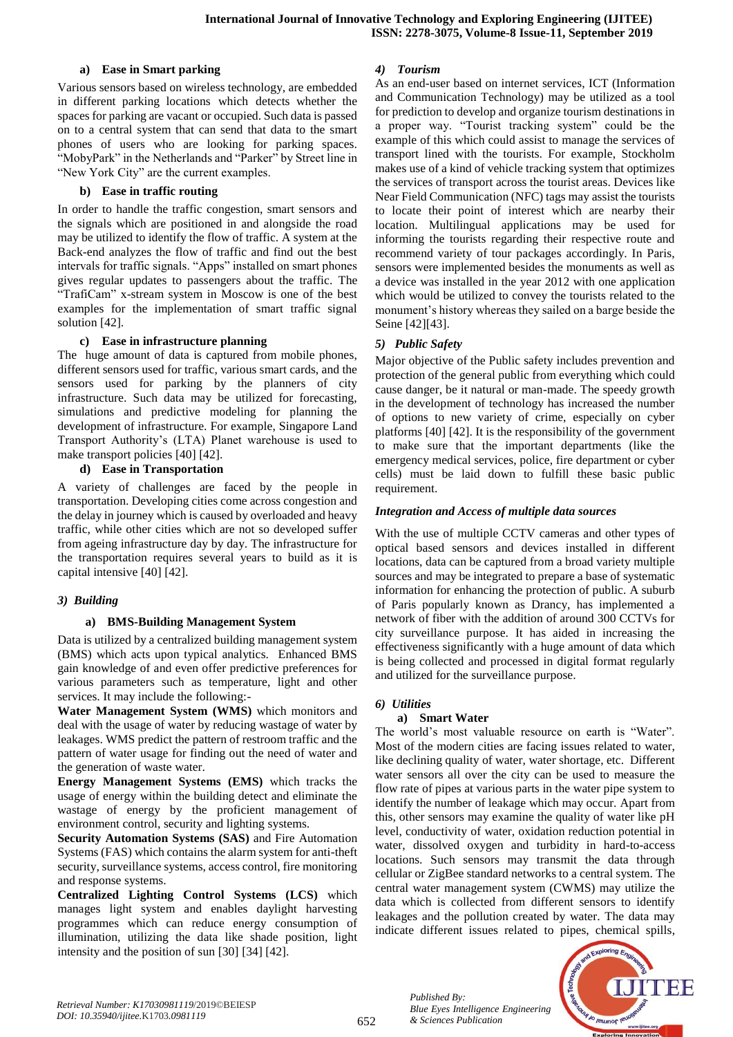## **a) Ease in Smart parking**

Various sensors based on wireless technology, are embedded in different parking locations which detects whether the spaces for parking are vacant or occupied. Such data is passed on to a central system that can send that data to the smart phones of users who are looking for parking spaces. "MobyPark" in the Netherlands and "Parker" by Street line in "New York City" are the current examples.

## **b) Ease in traffic routing**

In order to handle the traffic congestion, smart sensors and the signals which are positioned in and alongside the road may be utilized to identify the flow of traffic. A system at the Back-end analyzes the flow of traffic and find out the best intervals for traffic signals. "Apps" installed on smart phones gives regular updates to passengers about the traffic. The "TrafiCam" x-stream system in Moscow is one of the best examples for the implementation of smart traffic signal solution [42].

## **c) Ease in infrastructure planning**

The huge amount of data is captured from mobile phones, different sensors used for traffic, various smart cards, and the sensors used for parking by the planners of city infrastructure. Such data may be utilized for forecasting, simulations and predictive modeling for planning the development of infrastructure. For example, Singapore Land Transport Authority's (LTA) Planet warehouse is used to make transport policies [40] [42].

## **d) Ease in Transportation**

A variety of challenges are faced by the people in transportation. Developing cities come across congestion and the delay in journey which is caused by overloaded and heavy traffic, while other cities which are not so developed suffer from ageing infrastructure day by day. The infrastructure for the transportation requires several years to build as it is capital intensive [40] [42].

# *3) Building*

# **a) BMS-Building Management System**

Data is utilized by a centralized building management system (BMS) which acts upon typical analytics. Enhanced BMS gain knowledge of and even offer predictive preferences for various parameters such as temperature, light and other services. It may include the following:-

**Water Management System (WMS)** which monitors and deal with the usage of water by reducing wastage of water by leakages. WMS predict the pattern of restroom traffic and the pattern of water usage for finding out the need of water and the generation of waste water.

**Energy Management Systems (EMS)** which tracks the usage of energy within the building detect and eliminate the wastage of energy by the proficient management of environment control, security and lighting systems.

**Security Automation Systems (SAS)** and Fire Automation Systems (FAS) which contains the alarm system for anti-theft security, surveillance systems, access control, fire monitoring and response systems.

**Centralized Lighting Control Systems (LCS)** which manages light system and enables daylight harvesting programmes which can reduce energy consumption of illumination, utilizing the data like shade position, light intensity and the position of sun [30] [34] [42].

# *4) Tourism*

As an end-user based on internet services, ICT (Information and Communication Technology) may be utilized as a tool for prediction to develop and organize tourism destinations in a proper way. "Tourist tracking system" could be the example of this which could assist to manage the services of transport lined with the tourists. For example, Stockholm makes use of a kind of vehicle tracking system that optimizes the services of transport across the tourist areas. Devices like Near Field Communication (NFC) tags may assist the tourists to locate their point of interest which are nearby their location. Multilingual applications may be used for informing the tourists regarding their respective route and recommend variety of tour packages accordingly. In Paris, sensors were implemented besides the monuments as well as a device was installed in the year 2012 with one application which would be utilized to convey the tourists related to the monument's history whereas they sailed on a barge beside the Seine [42][43].

# *5) Public Safety*

Major objective of the Public safety includes prevention and protection of the general public from everything which could cause danger, be it natural or man-made. The speedy growth in the development of technology has increased the number of options to new variety of crime, especially on cyber platforms [40] [42]. It is the responsibility of the government to make sure that the important departments (like the emergency medical services, police, fire department or cyber cells) must be laid down to fulfill these basic public requirement.

# *Integration and Access of multiple data sources*

With the use of multiple CCTV cameras and other types of optical based sensors and devices installed in different locations, data can be captured from a broad variety multiple sources and may be integrated to prepare a base of systematic information for enhancing the protection of public. A suburb of Paris popularly known as Drancy, has implemented a network of fiber with the addition of around 300 CCTVs for city surveillance purpose. It has aided in increasing the effectiveness significantly with a huge amount of data which is being collected and processed in digital format regularly and utilized for the surveillance purpose.

# *6) Utilities*

# **a) Smart Water**

The world's most valuable resource on earth is "Water". Most of the modern cities are facing issues related to water, like declining quality of water, water shortage, etc. Different water sensors all over the city can be used to measure the flow rate of pipes at various parts in the water pipe system to identify the number of leakage which may occur. Apart from this, other sensors may examine the quality of water like pH level, conductivity of water, oxidation reduction potential in water, dissolved oxygen and turbidity in hard-to-access locations. Such sensors may transmit the data through cellular or ZigBee standard networks to a central system. The central water management system (CWMS) may utilize the data which is collected from different sensors to identify leakages and the pollution created by water. The data may indicate different issues related to pipes, chemical spills,



*Blue Eyes Intelligence Engineering & Sciences Publication* 

*Published By:*

652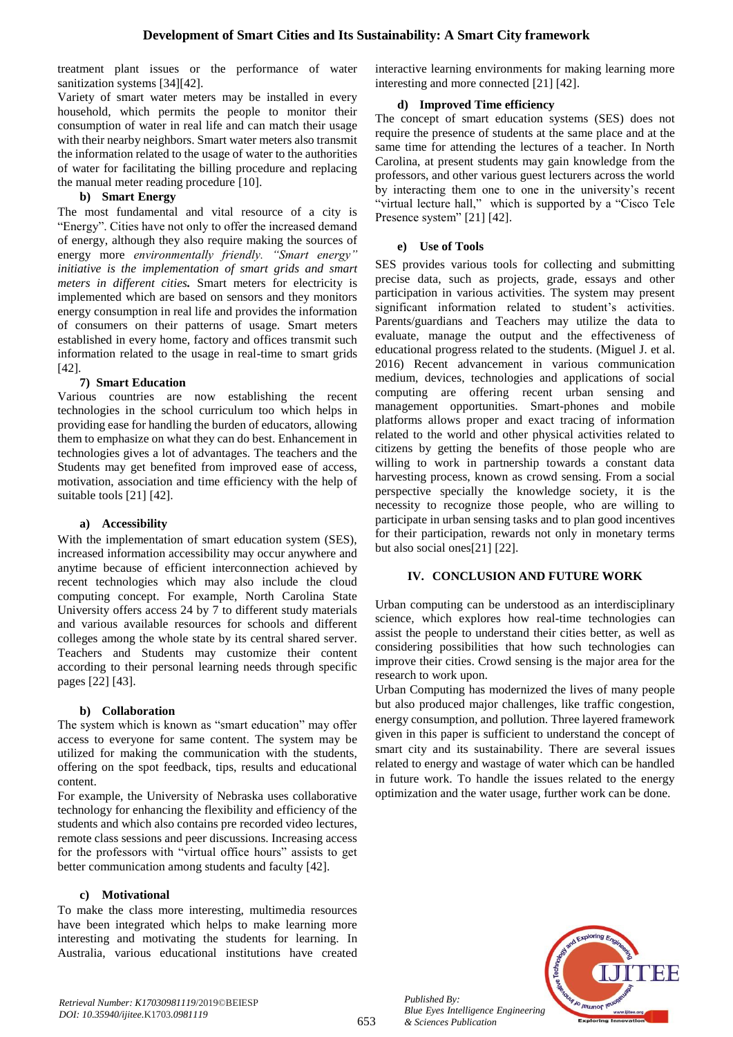treatment plant issues or the performance of water sanitization systems [34][42].

Variety of smart water meters may be installed in every household, which permits the people to monitor their consumption of water in real life and can match their usage with their nearby neighbors. Smart water meters also transmit the information related to the usage of water to the authorities of water for facilitating the billing procedure and replacing the manual meter reading procedure [10].

#### **b) Smart Energy**

The most fundamental and vital resource of a city is "Energy". Cities have not only to offer the increased demand of energy, although they also require making the sources of energy more *environmentally friendly. "Smart energy" initiative is the implementation of smart grids and smart meters in different cities.* Smart meters for electricity is implemented which are based on sensors and they monitors energy consumption in real life and provides the information of consumers on their patterns of usage. Smart meters established in every home, factory and offices transmit such information related to the usage in real-time to smart grids [42].

#### **7) Smart Education**

Various countries are now establishing the recent technologies in the school curriculum too which helps in providing ease for handling the burden of educators, allowing them to emphasize on what they can do best. Enhancement in technologies gives a lot of advantages. The teachers and the Students may get benefited from improved ease of access, motivation, association and time efficiency with the help of suitable tools [21] [42].

#### **a) Accessibility**

With the implementation of smart education system (SES). increased information accessibility may occur anywhere and anytime because of efficient interconnection achieved by recent technologies which may also include the cloud computing concept. For example, North Carolina State University offers access 24 by 7 to different study materials and various available resources for schools and different colleges among the whole state by its central shared server. Teachers and Students may customize their content according to their personal learning needs through specific pages [22] [43].

#### **b) Collaboration**

The system which is known as "smart education" may offer access to everyone for same content. The system may be utilized for making the communication with the students, offering on the spot feedback, tips, results and educational content.

For example, the University of Nebraska uses collaborative technology for enhancing the flexibility and efficiency of the students and which also contains pre recorded video lectures, remote class sessions and peer discussions. Increasing access for the professors with "virtual office hours" assists to get better communication among students and faculty [42].

#### **c) Motivational**

To make the class more interesting, multimedia resources have been integrated which helps to make learning more interesting and motivating the students for learning. In Australia, various educational institutions have created

interactive learning environments for making learning more interesting and more connected [21] [42].

#### **d) Improved Time efficiency**

The concept of smart education systems (SES) does not require the presence of students at the same place and at the same time for attending the lectures of a teacher. In North Carolina, at present students may gain knowledge from the professors, and other various guest lecturers across the world by interacting them one to one in the university's recent "virtual lecture hall," which is supported by a "Cisco Tele Presence system" [21] [42].

#### **e) Use of Tools**

SES provides various tools for collecting and submitting precise data, such as projects, grade, essays and other participation in various activities. The system may present significant information related to student's activities. Parents/guardians and Teachers may utilize the data to evaluate, manage the output and the effectiveness of educational progress related to the students. (Miguel J. et al. 2016) Recent advancement in various communication medium, devices, technologies and applications of social computing are offering recent urban sensing and management opportunities. Smart-phones and mobile platforms allows proper and exact tracing of information related to the world and other physical activities related to citizens by getting the benefits of those people who are willing to work in partnership towards a constant data harvesting process, known as crowd sensing. From a social perspective specially the knowledge society, it is the necessity to recognize those people, who are willing to participate in urban sensing tasks and to plan good incentives for their participation, rewards not only in monetary terms but also social ones[21] [22].

## **IV. CONCLUSION AND FUTURE WORK**

Urban computing can be understood as an interdisciplinary science, which explores how real-time technologies can assist the people to understand their cities better, as well as considering possibilities that how such technologies can improve their cities. Crowd sensing is the major area for the research to work upon.

Urban Computing has modernized the lives of many people but also produced major challenges, like traffic congestion, energy consumption, and pollution. Three layered framework given in this paper is sufficient to understand the concept of smart city and its sustainability. There are several issues related to energy and wastage of water which can be handled in future work. To handle the issues related to the energy optimization and the water usage, further work can be done.



*Retrieval Number: K17030981119*/2019©BEIESP *DOI: 10.35940/ijitee.*K1703*.0981119*

*Published By:*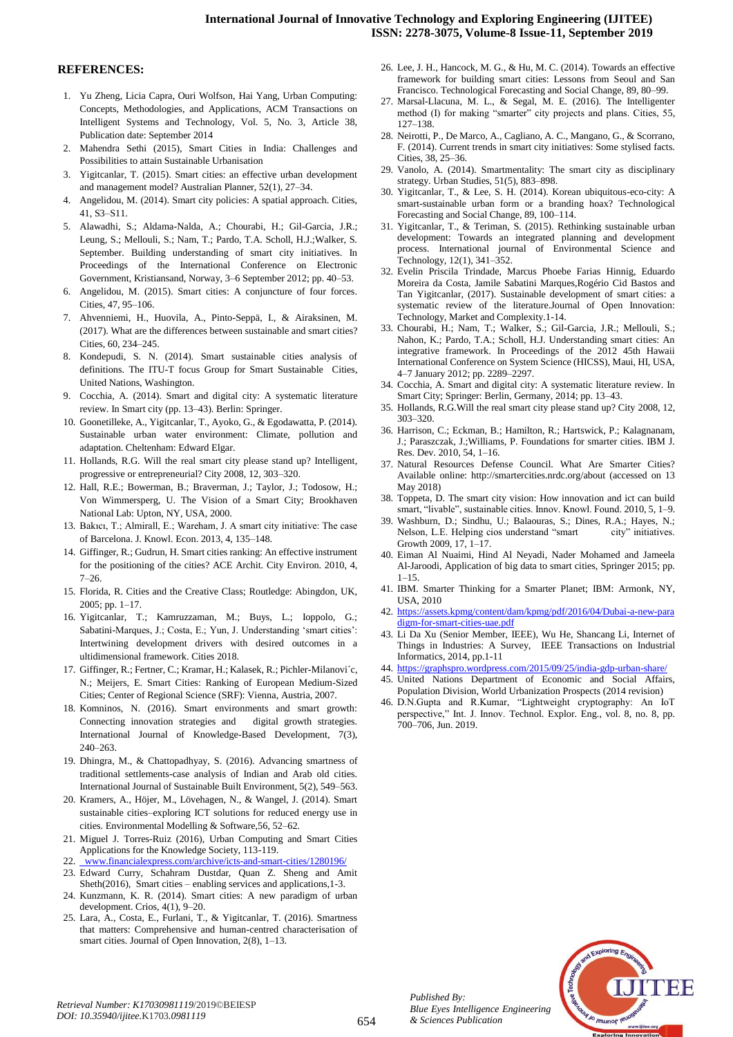#### **International Journal of Innovative Technology and Exploring Engineering (IJITEE) ISSN: 2278-3075, Volume-8 Issue-11, September 2019**

#### **REFERENCES:**

- 1. Yu Zheng, Licia Capra, Ouri Wolfson, Hai Yang, Urban Computing: Concepts, Methodologies, and Applications, ACM Transactions on Intelligent Systems and Technology, Vol. 5, No. 3, Article 38, Publication date: September 2014
- 2. Mahendra Sethi (2015), Smart Cities in India: Challenges and Possibilities to attain Sustainable Urbanisation
- 3. Yigitcanlar, T. (2015). Smart cities: an effective urban development and management model? Australian Planner, 52(1), 27–34.
- 4. Angelidou, M. (2014). Smart city policies: A spatial approach. Cities, 41, S3–S11.
- 5. Alawadhi, S.; Aldama-Nalda, A.; Chourabi, H.; Gil-Garcia, J.R.; Leung, S.; Mellouli, S.; Nam, T.; Pardo, T.A. Scholl, H.J.;Walker, S. September. Building understanding of smart city initiatives. In Proceedings of the International Conference on Electronic Government, Kristiansand, Norway, 3–6 September 2012; pp. 40–53.
- 6. Angelidou, M. (2015). Smart cities: A conjuncture of four forces. Cities, 47, 95–106.
- 7. Ahvenniemi, H., Huovila, A., Pinto-Seppä, I., & Airaksinen, M. (2017). What are the differences between sustainable and smart cities? Cities, 60, 234–245.
- 8. Kondepudi, S. N. (2014). Smart sustainable cities analysis of definitions. The ITU-T focus Group for Smart Sustainable Cities, United Nations, Washington.
- 9. Cocchia, A. (2014). Smart and digital city: A systematic literature review. In Smart city (pp. 13–43). Berlin: Springer.
- 10. Goonetilleke, A., Yigitcanlar, T., Ayoko, G., & Egodawatta, P. (2014). Sustainable urban water environment: Climate, pollution and adaptation. Cheltenham: Edward Elgar.
- 11. Hollands, R.G. Will the real smart city please stand up? Intelligent, progressive or entrepreneurial? City 2008, 12, 303–320.
- 12. Hall, R.E.; Bowerman, B.; Braverman, J.; Taylor, J.; Todosow, H.; Von Wimmersperg, U. The Vision of a Smart City; Brookhaven National Lab: Upton, NY, USA, 2000.
- 13. Bakıcı, T.; Almirall, E.; Wareham, J. A smart city initiative: The case of Barcelona. J. Knowl. Econ. 2013, 4, 135–148.
- 14. Giffinger, R.; Gudrun, H. Smart cities ranking: An effective instrument for the positioning of the cities? ACE Archit. City Environ. 2010, 4,  $7-26$
- 15. Florida, R. Cities and the Creative Class; Routledge: Abingdon, UK,  $2005$ ; pp.  $1-17$ .
- 16. Yigitcanlar, T.; Kamruzzaman, M.; Buys, L.; Ioppolo, G.; Sabatini-Marques, J.; Costa, E.; Yun, J. Understanding 'smart cities': Intertwining development drivers with desired outcomes in a ultidimensional framework. Cities 2018.
- 17. Giffinger, R.; Fertner, C.; Kramar, H.; Kalasek, R.; Pichler-Milanovi´c, N.; Meijers, E. Smart Cities: Ranking of European Medium-Sized Cities; Center of Regional Science (SRF): Vienna, Austria, 2007.
- 18. Komninos, N. (2016). Smart environments and smart growth: Connecting innovation strategies and digital growth strategies. International Journal of Knowledge-Based Development, 7(3), 240–263.
- 19. Dhingra, M., & Chattopadhyay, S. (2016). Advancing smartness of traditional settlements-case analysis of Indian and Arab old cities. International Journal of Sustainable Built Environment, 5(2), 549–563.
- 20. Kramers, A., Höjer, M., Lövehagen, N., & Wangel, J. (2014). Smart sustainable cities–exploring ICT solutions for reduced energy use in cities. Environmental Modelling & Software,56, 52–62.
- 21. Miguel J. Torres-Ruiz (2016), Urban Computing and Smart Cities Applications for the Knowledge Society, 113-119.
- 22. www.financialexpress.com/archive/icts-and-smart-cities/1280196/
- 23. Edward Curry, Schahram Dustdar, Quan Z. Sheng and Amit Sheth(2016), Smart cities – enabling services and applications,1-3.
- 24. Kunzmann, K. R. (2014). Smart cities: A new paradigm of urban development. Crios, 4(1), 9–20.
- 25. Lara, A., Costa, E., Furlani, T., & Yigitcanlar, T. (2016). Smartness that matters: Comprehensive and human-centred characterisation of smart cities. Journal of Open Innovation, 2(8), 1–13.
- 26. Lee, J. H., Hancock, M. G., & Hu, M. C. (2014). Towards an effective framework for building smart cities: Lessons from Seoul and San Francisco. Technological Forecasting and Social Change, 89, 80–99.
- 27. Marsal-Llacuna, M. L., & Segal, M. E. (2016). The Intelligenter method (I) for making "smarter" city projects and plans. Cities, 55, 127–138.
- 28. Neirotti, P., De Marco, A., Cagliano, A. C., Mangano, G., & Scorrano, F. (2014). Current trends in smart city initiatives: Some stylised facts. Cities, 38, 25–36.
- 29. Vanolo, A. (2014). Smartmentality: The smart city as disciplinary strategy. Urban Studies, 51(5), 883–898.
- 30. Yigitcanlar, T., & Lee, S. H. (2014). Korean ubiquitous-eco-city: A smart-sustainable urban form or a branding hoax? Technological Forecasting and Social Change, 89, 100–114.
- 31. Yigitcanlar, T., & Teriman, S. (2015). Rethinking sustainable urban development: Towards an integrated planning and development process. International journal of Environmental Science and Technology, 12(1), 341–352.
- 32. Evelin Priscila Trindade, Marcus Phoebe Farias Hinnig, Eduardo Moreira da Costa, Jamile Sabatini Marques,Rogério Cid Bastos and Tan Yigitcanlar, (2017). Sustainable development of smart cities: a systematic review of the literature.Journal of Open Innovation: Technology, Market and Complexity.1-14.
- 33. Chourabi, H.; Nam, T.; Walker, S.; Gil-Garcia, J.R.; Mellouli, S.; Nahon, K.; Pardo, T.A.; Scholl, H.J. Understanding smart cities: An integrative framework. In Proceedings of the 2012 45th Hawaii International Conference on System Science (HICSS), Maui, HI, USA, 4–7 January 2012; pp. 2289–2297.
- 34. Cocchia, A. Smart and digital city: A systematic literature review. In Smart City; Springer: Berlin, Germany, 2014; pp. 13–43.
- 35. Hollands, R.G.Will the real smart city please stand up? City 2008, 12, 303–320.
- 36. Harrison, C.; Eckman, B.; Hamilton, R.; Hartswick, P.; Kalagnanam, J.; Paraszczak, J.;Williams, P. Foundations for smarter cities. IBM J. Res. Dev. 2010, 54, 1–16.
- 37. Natural Resources Defense Council. What Are Smarter Cities? Available online: http://smartercities.nrdc.org/about (accessed on 13 May 2018)
- 38. Toppeta, D. The smart city vision: How innovation and ict can build smart, "livable", sustainable cities. Innov. Knowl. Found. 2010, 5, 1–9.
- 39. Washburn, D.; Sindhu, U.; Balaouras, S.; Dines, R.A.; Hayes, N.; Nelson, L.E. Helping cios understand "smart city" initiatives. Growth 2009, 17, 1–17.
- 40. Eiman Al Nuaimi, Hind Al Neyadi, Nader Mohamed and Jameela Al-Jaroodi, Application of big data to smart cities, Springer 2015; pp.  $1 - 15$ .
- 41. IBM. Smarter Thinking for a Smarter Planet; IBM: Armonk, NY, USA, 2010
- 42. [https://assets.kpmg/content/dam/kpmg/pdf/2016/04/Dubai-a-new-para](https://assets.kpmg/content/dam/kpmg/pdf/2016/04/Dubai-a-new-paradigm-for-smart-cities-uae.pdf) [digm-for-smart-cities-uae.pdf](https://assets.kpmg/content/dam/kpmg/pdf/2016/04/Dubai-a-new-paradigm-for-smart-cities-uae.pdf)
- 43. Li Da Xu (Senior Member, IEEE), Wu He, Shancang Li, Internet of Things in Industries: A Survey, IEEE Transactions on Industrial Informatics, 2014, pp.1-11
- 44. <https://graphspro.wordpress.com/2015/09/25/india-gdp-urban-share/>
- 45. United Nations Department of Economic and Social Affairs, Population Division, World Urbanization Prospects (2014 revision)
- 46. D.N.Gupta and R.Kumar, "Lightweight cryptography: An IoT perspective," Int. J. Innov. Technol. Explor. Eng., vol. 8, no. 8, pp. 700–706, Jun. 2019.



*Published By:*